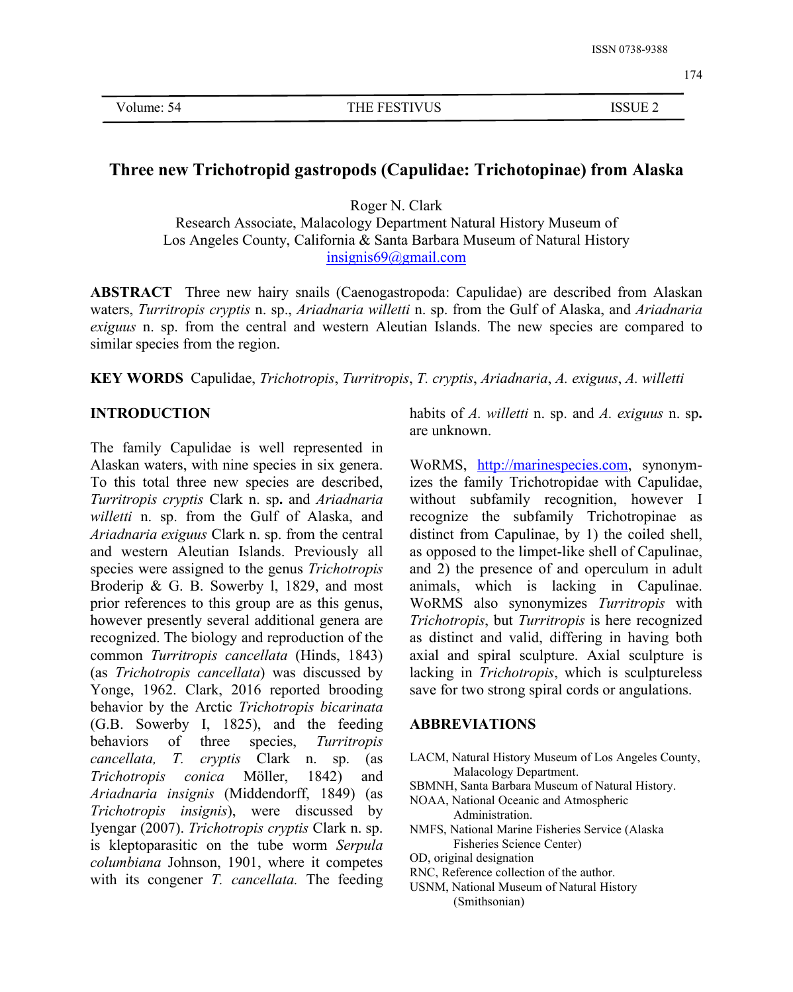# **Three new Trichotropid gastropods (Capulidae: Trichotopinae) from Alaska**

Roger N. Clark Research Associate, Malacology Department Natural History Museum of Los Angeles County, California & Santa Barbara Museum of Natural History [insignis69@gmail.com](mailto:insignis69@gmail.com)

**ABSTRACT** Three new hairy snails (Caenogastropoda: Capulidae) are described from Alaskan waters, *Turritropis cryptis* n. sp., *Ariadnaria willetti* n. sp. from the Gulfof Alaska, and *Ariadnaria exiguus* n. sp. from the central and western Aleutian Islands. The new species are compared to similar species from the region.

**KEY WORDS** Capulidae, *Trichotropis*, *Turritropis*, *T. cryptis*, *Ariadnaria*, *A. exiguus*, *A. willetti*

## **INTRODUCTION**

The family Capulidae is well represented in Alaskan waters, with nine species in six genera.To this total three new species are described, *Turritropis cryptis* Clark n. sp**.** and *Ariadnaria willetti* n. sp. from the Gulf of Alaska, and *Ariadnaria exiguus* Clark n. sp. from the central and western Aleutian Islands. Previously all species were assigned to the genus *Trichotropis* Broderip & G. B. Sowerby l, 1829, and most prior references to this group are as this genus, however presently several additional genera are recognized. The biology and reproduction of the common *Turritropis cancellata* (Hinds, 1843) (as *Trichotropis cancellata*) was discussed by Yonge, 1962. Clark, 2016 reported brooding behavior by the Arctic *Trichotropis bicarinata* (G.B. Sowerby I, 1825), and the feeding behaviors of three species, *Turritropis cancellata, T. cryptis* Clark n. sp. (as *Trichotropis conica* Möller, 1842) and *Ariadnaria insignis* (Middendorff, 1849) (as *Trichotropis insignis*), were discussed by Iyengar (2007). *Trichotropis cryptis* Clark n. sp. is kleptoparasitic on the tube worm *Serpula columbiana* Johnson, 1901, where it competes with its congener *T. cancellata.* The feeding

habits of *A. willetti* n. sp. and *A. exiguus* n. sp**.** are unknown.

WoRMS, <http://marinespecies.com>, synonymizes the family Trichotropidae with Capulidae, without subfamily recognition, however I recognize the subfamily Trichotropinae as distinct from Capulinae, by 1) the coiled shell, as opposed to the limpet-like shell of Capulinae, and 2) the presence of and operculum in adult animals, which is lacking in Capulinae. WoRMS also synonymizes *Turritropis* with *Trichotropis*, but *Turritropis* is here recognized as distinct and valid, differing in having both axial and spiral sculpture. Axial sculpture is lacking in *Trichotropis*, which is sculptureless save for two strong spiral cords or angulations.

#### **ABBREVIATIONS**

- LACM, Natural History Museum of Los Angeles County, Malacology Department.
- SBMNH, Santa Barbara Museum of Natural History.
- NOAA, National Oceanic and Atmospheric Administration.
- NMFS, National Marine Fisheries Service (Alaska Fisheries Science Center)
- OD, original designation
- RNC, Reference collection of the author.
- USNM, National Museum of Natural History (Smithsonian)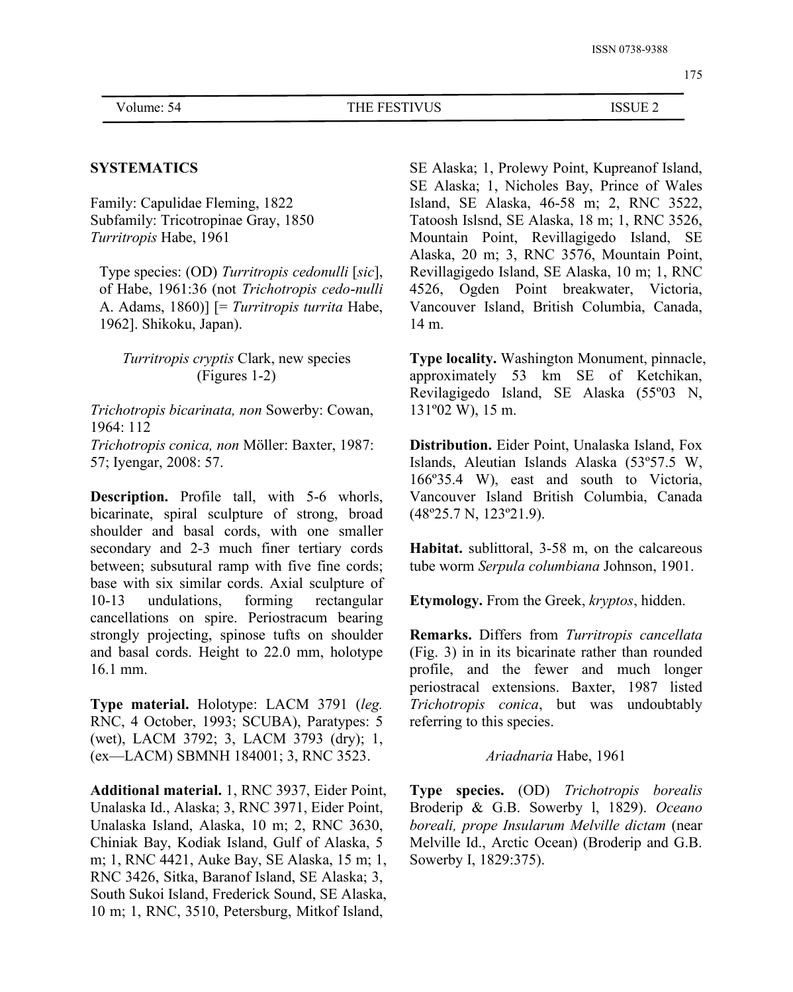### **SYSTEMATICS**

Family: Capulidae Fleming, 1822 Subfamily: Tricotropinae Gray, 1850 *Turritropis* Habe,1961

Type species: (OD) *Turritropis cedonulli* [*sic*], of Habe, 1961:36 (not *Trichotropis cedo*-*nulli* A. Adams, 1860)] [= *Turritropis turrita* Habe, 1962]. Shikoku, Japan).

## *Turritropis cryptis* Clark, new species (Figures 1-2)

*Trichotropis bicarinata, non* Sowerby: Cowan, 1964: 112

*Trichotropis conica, non* Möller: Baxter, 1987: 57; Iyengar, 2008: 57.

**Description.** Profile tall, with 5-6 whorls, bicarinate, spiral sculpture of strong, broad shoulder and basal cords, with one smaller secondary and 2-3 much finer tertiary cords between; subsutural ramp with five fine cords; base with six similar cords. Axial sculpture of 10-13 undulations, forming rectangular cancellations on spire. Periostracum bearing strongly projecting, spinose tufts on shoulder and basal cords. Height to 22.0 mm, holotype 16.1 mm.

**Type material.** Holotype: LACM 3791 (*leg.* RNC, 4 October, 1993; SCUBA), Paratypes: 5 (wet), LACM 3792; 3, LACM 3793 (dry); 1, (ex—LACM) SBMNH 184001; 3, RNC 3523.

**Additional material.** 1, RNC 3937, Eider Point, Unalaska Id., Alaska; 3, RNC 3971, Eider Point, Unalaska Island, Alaska, 10 m; 2, RNC 3630, Chiniak Bay, Kodiak Island, Gulf of Alaska, 5 m; 1, RNC 4421, Auke Bay, SE Alaska, 15 m; 1, RNC 3426, Sitka, Baranof Island, SE Alaska; 3, South Sukoi Island, Frederick Sound, SE Alaska, 10 m; 1, RNC, 3510, Petersburg, Mitkof Island,

SE Alaska; 1, Prolewy Point, Kupreanof Island, SE Alaska; 1, Nicholes Bay, Prince of Wales Island, SE Alaska, 46-58 m; 2, RNC 3522, Tatoosh Islsnd, SE Alaska, 18 m; 1, RNC 3526, Mountain Point, Revillagigedo Island, SE Alaska, 20 m; 3, RNC 3576, Mountain Point, Revillagigedo Island, SE Alaska, 10 m; 1, RNC 4526, Ogden Point breakwater, Victoria, Vancouver Island, British Columbia, Canada, 14 m.

**Type locality.** Washington Monument, pinnacle, approximately 53 km SE of Ketchikan, Revilagigedo Island, SE Alaska (55º03 N, 131º02 W), 15 m.

**Distribution.** Eider Point, Unalaska Island, Fox Islands, Aleutian Islands Alaska (53º57.5 W, 166º35.4 W), east and south to Victoria, Vancouver Island British Columbia, Canada (48º25.7 N, 123º21.9).

**Habitat.** sublittoral, 3-58 m, on the calcareous tube worm *Serpula columbiana* Johnson, 1901.

**Etymology.** From the Greek, *kryptos*, hidden.

**Remarks.** Differs from *Turritropis cancellata* (Fig. 3) in in its bicarinate rather than rounded profile, and the fewer and much longer periostracal extensions. Baxter, 1987 listed *Trichotropis conica*, but was undoubtably referring to this species.

#### *Ariadnaria* Habe, 1961

**Type species.** (OD) *Trichotropis borealis* Broderip & G.B. Sowerby l, 1829). *Oceano boreali, prope Insularum Melville dictam* (near Melville Id., Arctic Ocean) (Broderip and G.B. Sowerby I, 1829:375).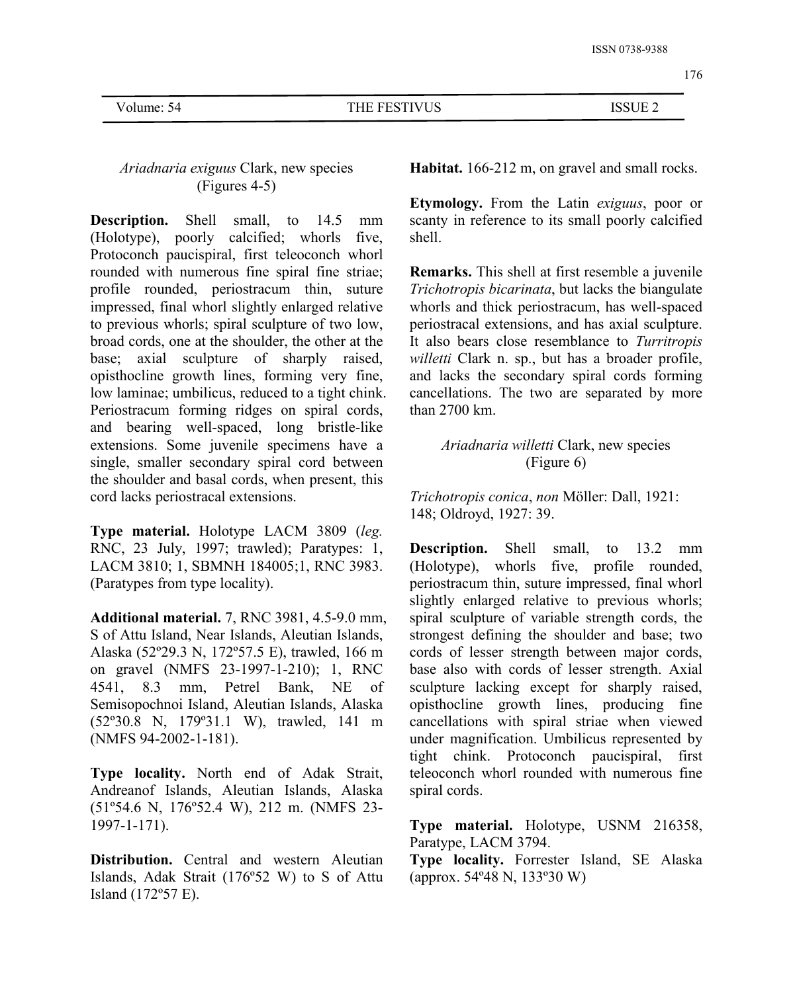## *Ariadnaria exiguus* Clark, new species (Figures 4-5)

**Description.** Shell small, to 14.5 mm (Holotype), poorly calcified; whorls five, Protoconch paucispiral, first teleoconch whorl rounded with numerous fine spiral fine striae; profile rounded, periostracum thin, suture impressed, final whorl slightly enlarged relative to previous whorls; spiral sculpture of two low, broad cords, one at the shoulder, the other at the base; axial sculpture of sharply raised, opisthocline growth lines, forming very fine,<br>low laminae; umbilicus, reduced to a tight chink. Periostracum forming ridges on spiral cords, and bearing well-spaced, long bristle-like extensions. Some juvenile specimens have a single, smaller secondary spiral cord between the shoulder and basal cords, when present, this cord lacks periostracal extensions.

**Type material.** Holotype LACM 3809 (*leg.* RNC, 23 July, 1997; trawled); Paratypes: 1, LACM 3810; 1, SBMNH 184005;1, RNC 3983. (Paratypes from type locality).

**Additional material.** 7, RNC 3981, 4.5-9.0 mm, S of Attu Island, Near Islands, Aleutian Islands, Alaska (52º29.3 N, 172º57.5 E), trawled, 166 m on gravel (NMFS 23-1997-1-210); 1, RNC 4541, 8.3 mm, Petrel Bank, NE of Semisopochnoi Island, Aleutian Islands, Alaska (52º30.8 N, 179º31.1 W), trawled, 141 m (NMFS 94-2002-1-181).

**Type locality.** North end of Adak Strait, Andreanof Islands, Aleutian Islands, Alaska (51º54.6 N, 176º52.4 W), 212 m. (NMFS 23- 1997-1-171).

**Distribution.** Central and western Aleutian Islands, Adak Strait (176º52 W) to S of Attu Island (172º57 E).

**Habitat.** 166-212 m, on gravel and small rocks.

**Etymology.** From the Latin *exiguus*, poor or scanty in reference to its small poorly calcified shell.

**Remarks.** This shell at first resemble a juvenile *Trichotropis bicarinata*, but lacks the biangulate whorls and thick periostracum, has well-spaced periostracal extensions, and has axial sculpture. It also bears close resemblance to *Turritropis willetti* Clark n. sp., but has a broader profile, and lacks the secondary spiral cords forming cancellations. The two are separated by more than 2700 km.

## *Ariadnaria willetti* Clark, new species (Figure 6)

*Trichotropis conica*, *non* Möller: Dall, 1921: 148; Oldroyd, 1927: 39.

**Description.** Shell small, to 13.2 mm (Holotype), whorls five, profile rounded, periostracum thin, suture impressed, final whorl slightly enlarged relative to previous whorls; spiral sculpture of variable strength cords, the strongest defining the shoulder and base; two cords of lesser strength between major cords, base also with cords of lesser strength. Axial sculpture lacking except for sharply raised, opisthocline growth lines, producing fine cancellations with spiral striae when viewed under magnification. Umbilicus represented by tight chink. Protoconch paucispiral, first teleoconch whorl rounded with numerous fine spiral cords.

**Type material.** Holotype, USNM 216358, Paratype, LACM 3794.

**Type locality.** Forrester Island, SE Alaska (approx. 54º48 N, 133º30 W)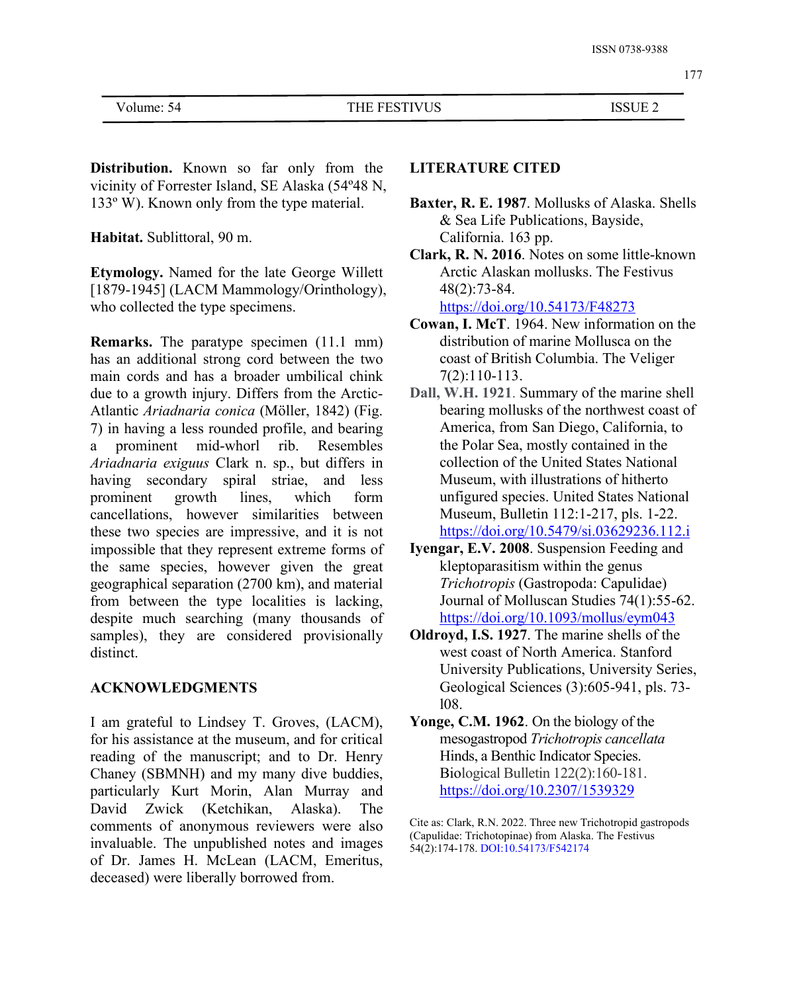Volume: 54 THE FESTIVUS ISSUE 2

**Distribution.** Known so far only from the vicinity of Forrester Island, SE Alaska (54º48 N, 133º W). Known only from the type material.

**Habitat.** Sublittoral, 90 m.

**Etymology.** Named for the late George Willett [1879-1945] (LACM Mammology/Orinthology), who collected the type specimens.

**Remarks.** The paratype specimen (11.1 mm) has an additional strong cord between the two main cords and has a broader umbilical chink due to a growth injury. Differs from the Arctic- Atlantic *Ariadnaria conica* (Möller, 1842) (Fig. 7) in having a less rounded profile, and bearing a prominent mid-whorl rib. Resembles *Ariadnaria exiguus* Clark n. sp., but differs in having secondary spiral striae, and less prominent growth lines, which form unfigured species. United States National cancellations, however similarities between these two species are impressive, and it is not impossible that they represent extreme forms of the same species, however given the great geographical separation  $(2700 \text{ km})$ , and material from between the type localities is lacking, despite much searching (many thousands of samples), they are considered provisionally distinct.

### **ACKNOWLEDGMENTS**

I am grateful to Lindsey T. Groves, (LACM), for his assistance at the museum, and for critical reading of the manuscript; and to Dr. Henry Chaney (SBMNH) and my many dive buddies, particularly Kurt Morin, Alan Murray and David Zwick (Ketchikan, Alaska). The comments of anonymous reviewers were also invaluable. The unpublished notes and images of Dr. James H. McLean (LACM, Emeritus, deceased) were liberally borrowed from.

### **LITERATURE CITED**

- **Baxter, R. E. 1987**. Mollusks of Alaska. Shells & Sea Life Publications, Bayside, California. 163 pp.
- **Clark, R. N. 2016**. Notes on some little-known Arctic Alaskan mollusks. The Festivus 48(2):73-84. <https://doi.org/10.54173/F48273>
- **Cowan, I. McT**. 1964. New information on the distribution of marine Mollusca on the coast of British Columbia. The Veliger 7(2):110-113.
- **Dall, W.H. 1921**. Summary of the marine shell bearing mollusks of the northwest coast of America, from San Diego, California, to the Polar Sea, mostly contained in the collection of the United States National Museum, with illustrations of hitherto Museum, Bulletin 112:1-217, pls. 1-22. <https://doi.org/10.5479/si.03629236.112.i>
- **Iyengar, E.V. 2008**. Suspension Feeding and kleptoparasitism within the genus *Trichotropis* (Gastropoda: Capulidae) Journal of Molluscan Studies 74(1):55-62. <https://doi.org/10.1093/mollus/eym043>
- **Oldroyd, I.S. 1927**. The marine shells of the west coast of North America. Stanford University Publications, University Series, Geological Sciences (3):605-941, pls. 73 l08.
- **Yonge, C.M. 1962**. On the biology of the mesogastropod *Trichotropis cancellata* Hinds, a Benthic Indicator Species. Biological Bulletin 122(2):160-181. <https://doi.org/10.2307/1539329>

Cite as: Clark, R.N. 2022. Three new Trichotropid gastropods (Capulidae: Trichotopinae) from Alaska. The Festivus 54(2):174-178. DOI:10.54173/F542174